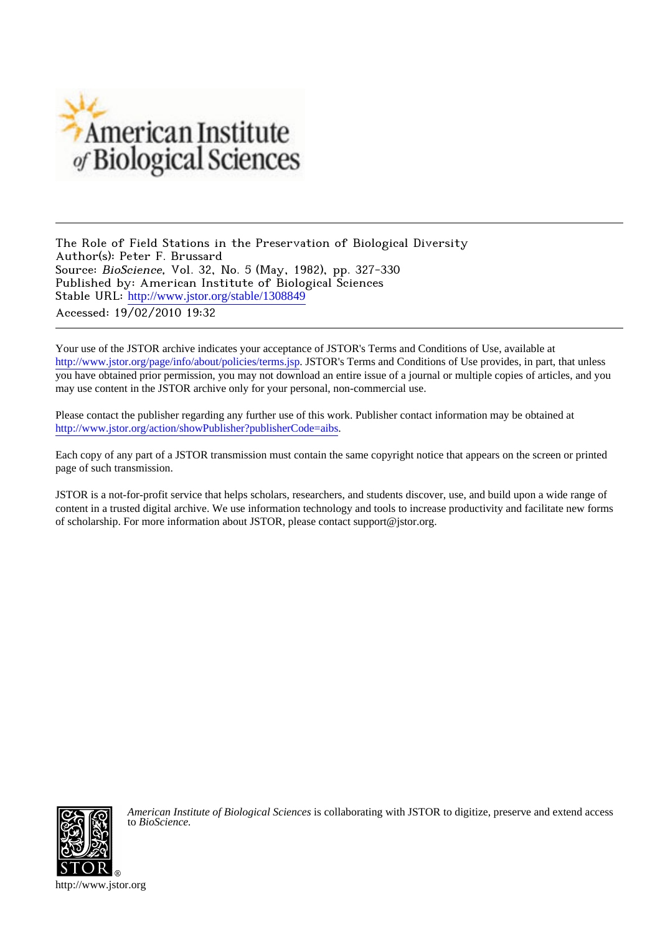

The Role of Field Stations in the Preservation of Biological Diversity Author(s): Peter F. Brussard Source: BioScience, Vol. 32, No. 5 (May, 1982), pp. 327-330 Published by: American Institute of Biological Sciences Stable URL: [http://www.jstor.org/stable/1308849](http://www.jstor.org/stable/1308849?origin=JSTOR-pdf) Accessed: 19/02/2010 19:32

Your use of the JSTOR archive indicates your acceptance of JSTOR's Terms and Conditions of Use, available at <http://www.jstor.org/page/info/about/policies/terms.jsp>. JSTOR's Terms and Conditions of Use provides, in part, that unless you have obtained prior permission, you may not download an entire issue of a journal or multiple copies of articles, and you may use content in the JSTOR archive only for your personal, non-commercial use.

Please contact the publisher regarding any further use of this work. Publisher contact information may be obtained at <http://www.jstor.org/action/showPublisher?publisherCode=aibs>.

Each copy of any part of a JSTOR transmission must contain the same copyright notice that appears on the screen or printed page of such transmission.

JSTOR is a not-for-profit service that helps scholars, researchers, and students discover, use, and build upon a wide range of content in a trusted digital archive. We use information technology and tools to increase productivity and facilitate new forms of scholarship. For more information about JSTOR, please contact support@jstor.org.



*American Institute of Biological Sciences* is collaborating with JSTOR to digitize, preserve and extend access to *BioScience.*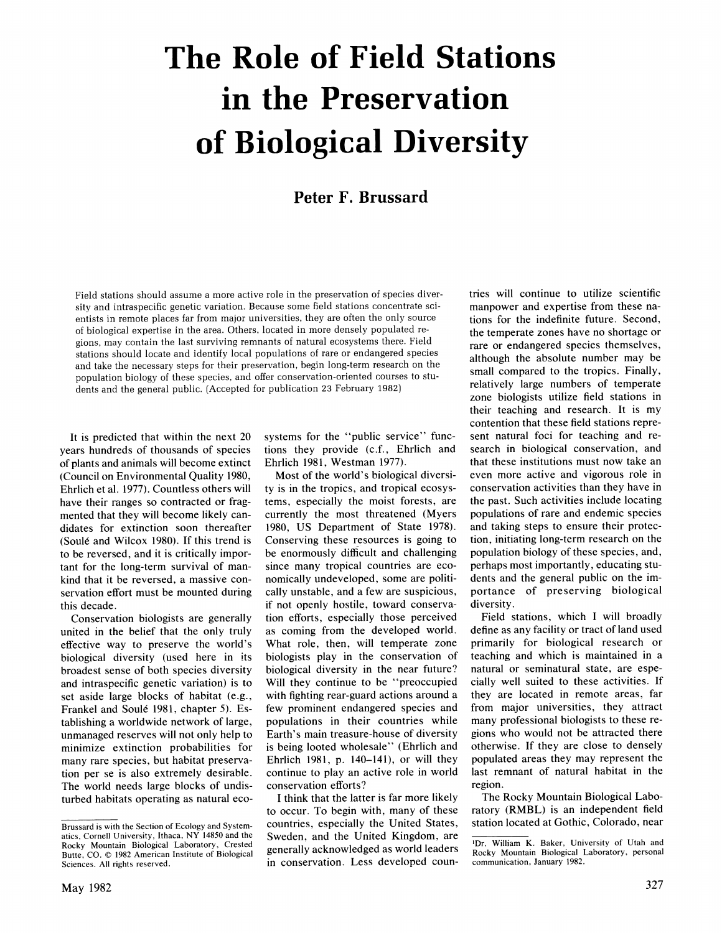# **The Role of Field Stations in the Preservation of Biological Diversity**

### **Peter F. Brussard**

**Field stations should assume a more active role in the preservation of species diversity and intraspecific genetic variation. Because some field stations concentrate scientists in remote places far from major universities, they are often the only source of biological expertise in the area. Others, located in more densely populated regions, may contain the last surviving remnants of natural ecosystems there. Field stations should locate and identify local populations of rare or endangered species and take the necessary steps for their preservation, begin long-term research on the population biology of these species, and offer conservation-oriented courses to students and the general public. (Accepted for publication 23 February 1982)** 

**It is predicted that within the next 20 years hundreds of thousands of species of plants and animals will become extinct (Council on Environmental Quality 1980, Ehrlich et al. 1977). Countless others will have their ranges so contracted or fragmented that they will become likely candidates for extinction soon thereafter (Soule and Wilcox 1980). If this trend is to be reversed, and it is critically important for the long-term survival of mankind that it be reversed, a massive conservation effort must be mounted during this decade.** 

**Conservation biologists are generally united in the belief that the only truly effective way to preserve the world's biological diversity (used here in its broadest sense of both species diversity and intraspecific genetic variation) is to set aside large blocks of habitat (e.g., Frankel and Soule 1981, chapter 5). Establishing a worldwide network of large, unmanaged reserves will not only help to minimize extinction probabilities for many rare species, but habitat preservation per se is also extremely desirable. The world needs large blocks of undisturbed habitats operating as natural eco-** **systems for the "public service" functions they provide (c.f., Ehrlich and Ehrlich 1981, Westman 1977).** 

**Most of the world's biological diversity is in the tropics, and tropical ecosystems, especially the moist forests, are currently the most threatened (Myers 1980, US Department of State 1978). Conserving these resources is going to be enormously difficult and challenging since many tropical countries are economically undeveloped, some are politically unstable, and a few are suspicious, if not openly hostile, toward conservation efforts, especially those perceived as coming from the developed world. What role, then, will temperate zone biologists play in the conservation of biological diversity in the near future? Will they continue to be "preoccupied with fighting rear-guard actions around a few prominent endangered species and populations in their countries while Earth's main treasure-house of diversity is being looted wholesale" (Ehrlich and Ehrlich 1981, p. 140-141), or will they continue to play an active role in world conservation efforts?** 

**I think that the latter is far more likely to occur. To begin with, many of these**  Brussard is with the Section of Ecology and Systemcountries, especially the United States, station located at Gothic, Colorado, near **Sweden, and the United Kingdom, are generally acknowledged as world leaders in conservation. Less developed coun-**

**tries will continue to utilize scientific manpower and expertise from these nations for the indefinite future. Second, the temperate zones have no shortage or rare or endangered species themselves, although the absolute number may be small compared to the tropics. Finally, relatively large numbers of temperate zone biologists utilize field stations in their teaching and research. It is my contention that these field stations represent natural foci for teaching and research in biological conservation, and that these institutions must now take an even more active and vigorous role in conservation activities than they have in the past. Such activities include locating populations of rare and endemic species and taking steps to ensure their protection, initiating long-term research on the population biology of these species, and, perhaps most importantly, educating students and the general public on the importance of preserving biological diversity.** 

**Field stations, which I will broadly define as any facility or tract of land used primarily for biological research or teaching and which is maintained in a natural or seminatural state, are especially well suited to these activities. If they are located in remote areas, far from major universities, they attract many professional biologists to these regions who would not be attracted there otherwise. If they are close to densely populated areas they may represent the last remnant of natural habitat in the region.** 

**The Rocky Mountain Biological Laboratory (RMBL) is an independent field** 

**atics, Cornell University, Ithaca, NY 14850 and the Rocky Mountain Biological Laboratory, Crested**  Butte, CO. @ 1982 American Institute of Biological **Sciences. All rights reserved.** 

**<sup>&#</sup>x27;Dr. William K. Baker, University of Utah and Rocky Mountain Biological Laboratory, personal communication, January 1982.**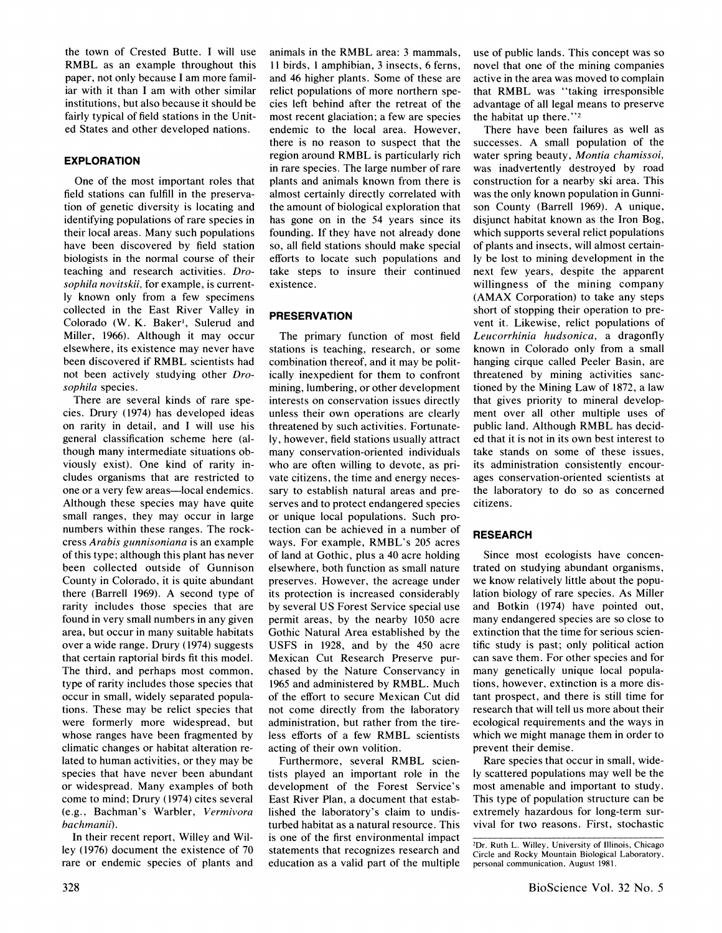**the town of Crested Butte. I will use RMBL as an example throughout this paper, not only because I am more familiar with it than I am with other similar institutions, but also because it should be fairly typical of field stations in the United States and other developed nations.** 

#### **EXPLORATION**

**One of the most important roles that field stations can fulfill in the preservation of genetic diversity is locating and identifying populations of rare species in their local areas. Many such populations have been discovered by field station biologists in the normal course of their teaching and research activities. Drosophila novitskii, for example, is currently known only from a few specimens collected in the East River Valley in Colorado (W. K. Baker', Sulerud and Miller, 1966). Although it may occur elsewhere, its existence may never have been discovered if RMBL scientists had not been actively studying other Drosophila species.** 

**There are several kinds of rare species. Drury (1974) has developed ideas on rarity in detail, and I will use his general classification scheme here (although many intermediate situations obviously exist). One kind of rarity includes organisms that are restricted to one or a very few areas-local endemics. Although these species may have quite small ranges, they may occur in large numbers within these ranges. The rockcress Arabis gunnisoniana is an example of this type; although this plant has never been collected outside of Gunnison County in Colorado, it is quite abundant there (Barrell 1969). A second type of rarity includes those species that are found in very small numbers in any given area, but occur in many suitable habitats over a wide range. Drury (1974) suggests that certain raptorial birds fit this model. The third, and perhaps most common, type of rarity includes those species that occur in small, widely separated populations. These may be relict species that were formerly more widespread, but whose ranges have been fragmented by climatic changes or habitat alteration related to human activities, or they may be species that have never been abundant or widespread. Many examples of both come to mind; Drury (1974) cites several (e.g., Bachman's Warbler, Vermivora bachmanii).** 

**In their recent report, Willey and Willey (1976) document the existence of 70 rare or endemic species of plants and** 

**animals in the RMBL area: 3 mammals, 11 birds, I amphibian, 3 insects, 6 ferns, and 46 higher plants. Some of these are relict populations of more northern species left behind after the retreat of the most recent glaciation; a few are species endemic to the local area. However, there is no reason to suspect that the region around RMBL is particularly rich in rare species. The large number of rare plants and animals known from there is almost certainly directly correlated with the amount of biological exploration that has gone on in the 54 years since its founding. If they have not already done so, all field stations should make special efforts to locate such populations and take steps to insure their continued existence.** 

#### **PRESERVATION**

**The primary function of most field stations is teaching, research, or some combination thereof, and it may be politically inexpedient for them to confront mining, lumbering, or other development interests on conservation issues directly unless their own operations are clearly threatened by such activities. Fortunately, however, field stations usually attract many conservation-oriented individuals who are often willing to devote, as private citizens, the time and energy necessary to establish natural areas and preserves and to protect endangered species or unique local populations. Such protection can be achieved in a number of ways. For example, RMBL's 205 acres of land at Gothic, plus a 40 acre holding elsewhere, both function as small nature preserves. However, the acreage under its protection is increased considerably by several US Forest Service special use permit areas, by the nearby 1050 acre Gothic Natural Area established by the USFS in 1928, and by the 450 acre Mexican Cut Research Preserve purchased by the Nature Conservancy in 1965 and administered by RMBL. Much of the effort to secure Mexican Cut did not come directly from the laboratory administration, but rather from the tireless efforts of a few RMBL scientists acting of their own volition.** 

**Furthermore, several RMBL scientists played an important role in the development of the Forest Service's East River Plan, a document that established the laboratory's claim to undisturbed habitat as a natural resource. This is one of the first environmental impact statements that recognizes research and education as a valid part of the multiple** 

**use of public lands. This concept was so novel that one of the mining companies active in the area was moved to complain that RMBL was "taking irresponsible advantage of all legal means to preserve the habitat up there.'"2** 

**There have been failures as well as successes. A small population of the water spring beauty, Montia chamissoi, was inadvertently destroyed by road construction for a nearby ski area. This was the only known population in Gunnison County (Barrell 1969). A unique, disjunct habitat known as the Iron Bog, which supports several relict populations of plants and insects, will almost certainly be lost to mining development in the next few years, despite the apparent willingness of the mining company (AMAX Corporation) to take any steps short of stopping their operation to prevent it. Likewise, relict populations of Leucorrhinia hudsonica, a dragonfly known in Colorado only from a small hanging cirque called Peeler Basin, are threatened by mining activities sanctioned by the Mining Law of 1872, a law that gives priority to mineral development over all other multiple uses of public land. Although RMBL has decided that it is not in its own best interest to take stands on some of these issues, its administration consistently encourages conservation-oriented scientists at the laboratory to do so as concerned citizens.** 

#### **RESEARCH**

**Since most ecologists have concentrated on studying abundant organisms, we know relatively little about the population biology of rare species. As Miller and Botkin (1974) have pointed out, many endangered species are so close to extinction that the time for serious scientific study is past; only political action can save them. For other species and for many genetically unique local populations, however, extinction is a more distant prospect, and there is still time for research that will tell us more about their ecological requirements and the ways in which we might manage them in order to prevent their demise.** 

**Rare species that occur in small, widely scattered populations may well be the most amenable and important to study. This type of population structure can be extremely hazardous for long-term survival for two reasons. First, stochastic** 

**<sup>2</sup>Dr. Ruth L. Willey, University of Illinois, Chicago Circle and Rocky Mountain Biological Laboratory, personal communication, August 1981.**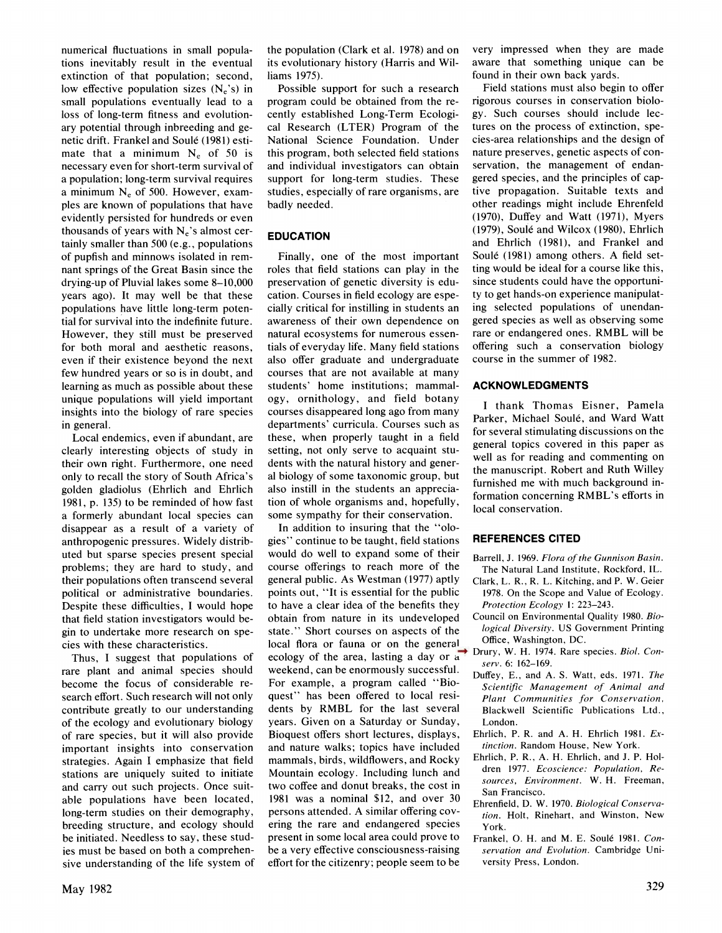**numerical fluctuations in small populations inevitably result in the eventual extinction of that population; second,**  low effective population sizes  $(N_e's)$  in **small populations eventually lead to a loss of long-term fitness and evolutionary potential through inbreeding and genetic drift. Frankel and Soule (1981) estimate that a minimum N<sub>e</sub> of 50 is necessary even for short-term survival of a population; long-term survival requires a minimum Ne of 500. However, examples are known of populations that have evidently persisted for hundreds or even thousands of years with Ne's almost certainly smaller than 500 (e.g., populations of pupfish and minnows isolated in remnant springs of the Great Basin since the drying-up of Pluvial lakes some 8-10,000 years ago). It may well be that these populations have little long-term potential for survival into the indefinite future. However, they still must be preserved for both moral and aesthetic reasons, even if their existence beyond the next few hundred years or so is in doubt, and learning as much as possible about these unique populations will yield important insights into the biology of rare species in general.** 

**Local endemics, even if abundant, are clearly interesting objects of study in their own right. Furthermore, one need only to recall the story of South Africa's golden gladiolus (Ehrlich and Ehrlich 1981, p. 135) to be reminded of how fast a formerly abundant local species can disappear as a result of a variety of anthropogenic pressures. Widely distributed but sparse species present special problems; they are hard to study, and their populations often transcend several political or administrative boundaries. Despite these difficulties, I would hope that field station investigators would begin to undertake more research on species with these characteristics.** 

**Thus, I suggest that populations of rare plant and animal species should become the focus of considerable research effort. Such research will not only contribute greatly to our understanding of the ecology and evolutionary biology of rare species, but it will also provide important insights into conservation strategies. Again I emphasize that field stations are uniquely suited to initiate and carry out such projects. Once suitable populations have been located, long-term studies on their demography, breeding structure, and ecology should be initiated. Needless to say, these studies must be based on both a comprehensive understanding of the life system of**  **the population (Clark et al. 1978) and on its evolutionary history (Harris and Williams 1975).** 

**Possible support for such a research program could be obtained from the recently established Long-Term Ecological Research (LTER) Program of the National Science Foundation. Under this program, both selected field stations and individual investigators can obtain support for long-term studies. These studies, especially of rare organisms, are badly needed.** 

#### **EDUCATION**

**Finally, one of the most important roles that field stations can play in the preservation of genetic diversity is education. Courses in field ecology are especially critical for instilling in students an awareness of their own dependence on natural ecosystems for numerous essentials of everyday life. Many field stations also offer graduate and undergraduate courses that are not available at many students' home institutions; mammalogy, ornithology, and field botany courses disappeared long ago from many departments' curricula. Courses such as these, when properly taught in a field setting, not only serve to acquaint students with the natural history and general biology of some taxonomic group, but also instill in the students an appreciation of whole organisms and, hopefully, some sympathy for their conservation.** 

**In addition to insuring that the "ologies" continue to be taught, field stations would do well to expand some of their course offerings to reach more of the general public. As Westman (1977) aptly points out, "It is essential for the public to have a clear idea of the benefits they obtain from nature in its undeveloped state." Short courses on aspects of the local flora or fauna or on the general ecology of the area, lasting a day or a weekend, can be enormously successful. For example, a program called "Bioquest" has been offered to local residents by RMBL for the last several years. Given on a Saturday or Sunday, Bioquest offers short lectures, displays, and nature walks; topics have included mammals, birds, wildflowers, and Rocky Mountain ecology. Including lunch and two coffee and donut breaks, the cost in 1981 was a nominal \$12, and over 30 persons attended. A similar offering covering the rare and endangered species present in some local area could prove to be a very effective consciousness-raising effort for the citizenry; people seem to be** 

**very impressed when they are made aware that something unique can be found in their own back yards.** 

**Field stations must also begin to offer rigorous courses in conservation biology. Such courses should include lectures on the process of extinction, species-area relationships and the design of nature preserves, genetic aspects of conservation, the management of endangered species, and the principles of captive propagation. Suitable texts and other readings might include Ehrenfeld (1970), Duffey and Watt (1971), Myers (1979), Soule and Wilcox (1980), Ehrlich and Ehrlich (1981), and Frankel and Soule (1981) among others. A field setting would be ideal for a course like this, since students could have the opportunity to get hands-on experience manipulating selected populations of unendangered species as well as observing some rare or endangered ones. RMBL will be offering such a conservation biology course in the summer of 1982.** 

#### **ACKNOWLEDGMENTS**

**I thank Thomas Eisner, Pamela**  Parker, Michael Soulé, and Ward Watt **for several stimulating discussions on the general topics covered in this paper as well as for reading and commenting on the manuscript. Robert and Ruth Willey furnished me with much background information concerning RMBL's efforts in local conservation.** 

#### **REFERENCES CITED**

- **Barrell, J. 1969. Flora of the Gunnison Basin. The Natural Land Institute, Rockford, IL.**
- **Clark, L. R., R. L. Kitching, and P. W. Geier 1978. On the Scope and Value of Ecology. Protection Ecology 1: 223-243.**
- **Council on Environmental Quality 1980. Biological Diversity. US Government Printing Office, Washington, DC.**
- **Drury, W. H. 1974. Rare species. Biol. Conserv. 6: 162-169.**
- **Duffey, E., and A. S. Watt, eds. 1971. The Scientific Management of Animal and Plant Communities for Conservation, Blackwell Scientific Publications Ltd., London.**
- **Ehrlich, P. R. and A. H. Ehrlich 1981. Extinction. Random House, New York.**
- **Ehrlich, P. R., A. H. Ehrlich, and J. P. Holdren 1977. Ecoscience: Population, Resources, Environment. W. H. Freeman, San Francisco.**
- **Ehrenfield, D. W. 1970. Biological Conservation. Holt, Rinehart, and Winston, New York.**
- Frankel, O. H. and M. E. Soulé 1981. Con**servation and Evolution. Cambridge University Press, London.**